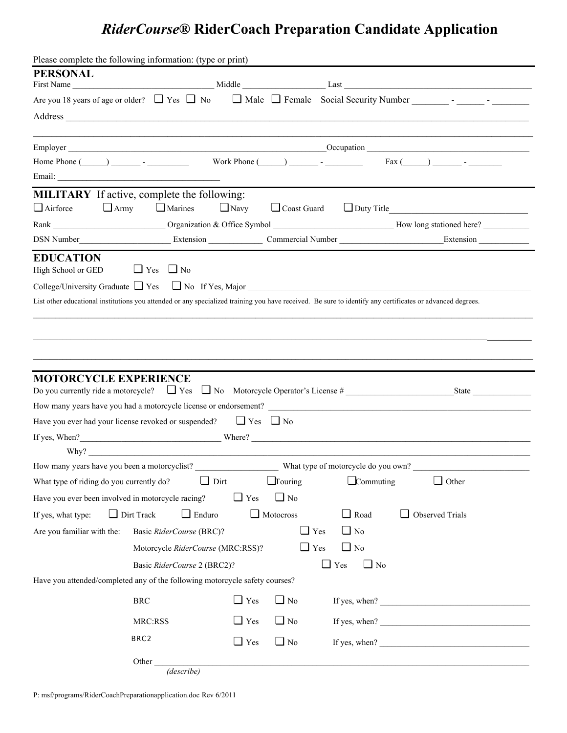## *RiderCourse***® RiderCoach Preparation Candidate Application**

| Please complete the following information: (type or print)                                                                                                |                                    |             |                  |                         |                                                                                                                                                                                                                                                                                                                                                                                                         |
|-----------------------------------------------------------------------------------------------------------------------------------------------------------|------------------------------------|-------------|------------------|-------------------------|---------------------------------------------------------------------------------------------------------------------------------------------------------------------------------------------------------------------------------------------------------------------------------------------------------------------------------------------------------------------------------------------------------|
| <b>PERSONAL</b>                                                                                                                                           |                                    |             |                  |                         |                                                                                                                                                                                                                                                                                                                                                                                                         |
|                                                                                                                                                           |                                    |             |                  |                         |                                                                                                                                                                                                                                                                                                                                                                                                         |
|                                                                                                                                                           |                                    |             |                  |                         |                                                                                                                                                                                                                                                                                                                                                                                                         |
|                                                                                                                                                           |                                    |             |                  |                         |                                                                                                                                                                                                                                                                                                                                                                                                         |
|                                                                                                                                                           |                                    |             |                  |                         |                                                                                                                                                                                                                                                                                                                                                                                                         |
|                                                                                                                                                           |                                    |             |                  |                         | Home Phone $(\_\_\_\_\_\_$ - $\_\_\_\_$ Work Phone $(\_\_\_\_\_\_$ - $\_\_\_\_$ Fax $(\_\_\_\_\_\_$ - $\_\_\_\_$                                                                                                                                                                                                                                                                                        |
|                                                                                                                                                           |                                    |             |                  |                         |                                                                                                                                                                                                                                                                                                                                                                                                         |
| <b>MILITARY</b> If active, complete the following:<br>$\Box$ Army<br>$\Box$ Airforce                                                                      | $\Box$ Marines                     | $\Box$ Navy |                  |                         | Coast Guard Duty Title                                                                                                                                                                                                                                                                                                                                                                                  |
|                                                                                                                                                           |                                    |             |                  |                         |                                                                                                                                                                                                                                                                                                                                                                                                         |
|                                                                                                                                                           |                                    |             |                  |                         | DSN Number<br>Extension<br>Extension<br>Extension<br>Commercial Number<br>Commercial Number<br>Extension<br>Extension                                                                                                                                                                                                                                                                                   |
| <b>EDUCATION</b><br>High School or GED                                                                                                                    | $\Box$ Yes $\Box$ No               |             |                  |                         |                                                                                                                                                                                                                                                                                                                                                                                                         |
| College/University Graduate $\Box$ Yes $\Box$ No If Yes, Major                                                                                            |                                    |             |                  |                         |                                                                                                                                                                                                                                                                                                                                                                                                         |
| List other educational institutions you attended or any specialized training you have received. Be sure to identify any certificates or advanced degrees. |                                    |             |                  |                         |                                                                                                                                                                                                                                                                                                                                                                                                         |
|                                                                                                                                                           |                                    |             |                  |                         |                                                                                                                                                                                                                                                                                                                                                                                                         |
| <b>MOTORCYCLE EXPERIENCE</b>                                                                                                                              |                                    |             |                  |                         | Do you currently ride a motorcycle? $\Box$ Yes $\Box$ No Motorcycle Operator's License #                                                                                                                                                                                                                                                                                                                |
| How many years have you had a motorcycle license or endorsement?                                                                                          |                                    |             |                  |                         |                                                                                                                                                                                                                                                                                                                                                                                                         |
| Have you ever had your license revoked or suspended? $\Box$ Yes $\Box$ No                                                                                 |                                    |             |                  |                         |                                                                                                                                                                                                                                                                                                                                                                                                         |
|                                                                                                                                                           |                                    |             |                  |                         | If yes, When? Where? Where?                                                                                                                                                                                                                                                                                                                                                                             |
|                                                                                                                                                           |                                    |             |                  |                         |                                                                                                                                                                                                                                                                                                                                                                                                         |
| How many years have you been a motorcyclist? What type of motorcycle do you own?                                                                          |                                    |             |                  |                         |                                                                                                                                                                                                                                                                                                                                                                                                         |
| What type of riding do you currently do?                                                                                                                  | $\Box$ Dirt                        |             | $\Box$ Touring   | $\Box$ Commuting        | $\Box$ Other                                                                                                                                                                                                                                                                                                                                                                                            |
| Have you ever been involved in motorcycle racing?                                                                                                         |                                    | $\Box$ Yes  | $\Box$ No        |                         |                                                                                                                                                                                                                                                                                                                                                                                                         |
| If yes, what type:                                                                                                                                        | $\Box$ Dirt Track<br>$\Box$ Enduro |             | $\Box$ Motocross | $\Box$ Road             | $\Box$ Observed Trials                                                                                                                                                                                                                                                                                                                                                                                  |
| Are you familiar with the:                                                                                                                                | Basic RiderCourse (BRC)?           |             | $\Box$ Yes       | $\Box$ No               |                                                                                                                                                                                                                                                                                                                                                                                                         |
|                                                                                                                                                           | Motorcycle RiderCourse (MRC:RSS)?  |             | $\Box$ Yes       | $\Box$ No               |                                                                                                                                                                                                                                                                                                                                                                                                         |
|                                                                                                                                                           | Basic RiderCourse 2 (BRC2)?        |             |                  | $\Box$ Yes<br>$\Box$ No |                                                                                                                                                                                                                                                                                                                                                                                                         |
| Have you attended/completed any of the following motorcycle safety courses?                                                                               |                                    |             |                  |                         |                                                                                                                                                                                                                                                                                                                                                                                                         |
|                                                                                                                                                           | <b>BRC</b>                         | $\Box$ Yes  | $\Box$ No        |                         | If yes, when? $\frac{1}{\sqrt{1-\frac{1}{2}}\sqrt{1-\frac{1}{2}}\sqrt{1-\frac{1}{2}}\sqrt{1-\frac{1}{2}}\sqrt{1-\frac{1}{2}}\sqrt{1-\frac{1}{2}}\sqrt{1-\frac{1}{2}}\sqrt{1-\frac{1}{2}}\sqrt{1-\frac{1}{2}}\sqrt{1-\frac{1}{2}}\sqrt{1-\frac{1}{2}}\sqrt{1-\frac{1}{2}}\sqrt{1-\frac{1}{2}}\sqrt{1-\frac{1}{2}}\sqrt{1-\frac{1}{2}}\sqrt{1-\frac{1}{2}}\sqrt{1-\frac{1}{2}}\sqrt{1-\frac{1}{2}}\sqrt{$ |
|                                                                                                                                                           | MRC:RSS                            | $\Box$ Yes  | $\Box$ No        |                         | If yes, when? $\qquad \qquad$                                                                                                                                                                                                                                                                                                                                                                           |
|                                                                                                                                                           | BRC <sub>2</sub>                   | $\Box$ Yes  | $\Box$ No        |                         | If yes, when? $\frac{1}{\sqrt{1-\frac{1}{2}}\sqrt{1-\frac{1}{2}}\sqrt{1-\frac{1}{2}}\sqrt{1-\frac{1}{2}}\sqrt{1-\frac{1}{2}}\sqrt{1-\frac{1}{2}}\sqrt{1-\frac{1}{2}}\sqrt{1-\frac{1}{2}}\sqrt{1-\frac{1}{2}}\sqrt{1-\frac{1}{2}}\sqrt{1-\frac{1}{2}}\sqrt{1-\frac{1}{2}}\sqrt{1-\frac{1}{2}}\sqrt{1-\frac{1}{2}}\sqrt{1-\frac{1}{2}}\sqrt{1-\frac{1}{2}}\sqrt{1-\frac{1}{2}}\sqrt{1-\frac{1}{2}}\sqrt{$ |
|                                                                                                                                                           | Other<br>(describe)                |             |                  |                         |                                                                                                                                                                                                                                                                                                                                                                                                         |